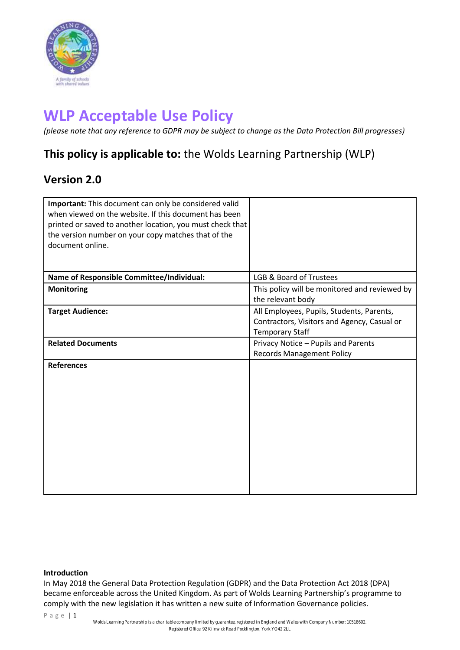

# **WLP Acceptable Use Policy**

*(please note that any reference to GDPR may be subject to change as the Data Protection Bill progresses)*

# **This policy is applicable to:** the Wolds Learning Partnership (WLP)

# **Version 2.0**

| Important: This document can only be considered valid<br>when viewed on the website. If this document has been<br>printed or saved to another location, you must check that<br>the version number on your copy matches that of the<br>document online. |                                                                                                                    |
|--------------------------------------------------------------------------------------------------------------------------------------------------------------------------------------------------------------------------------------------------------|--------------------------------------------------------------------------------------------------------------------|
| Name of Responsible Committee/Individual:                                                                                                                                                                                                              | <b>LGB &amp; Board of Trustees</b>                                                                                 |
| <b>Monitoring</b>                                                                                                                                                                                                                                      | This policy will be monitored and reviewed by<br>the relevant body                                                 |
| <b>Target Audience:</b>                                                                                                                                                                                                                                | All Employees, Pupils, Students, Parents,<br>Contractors, Visitors and Agency, Casual or<br><b>Temporary Staff</b> |
| <b>Related Documents</b>                                                                                                                                                                                                                               | Privacy Notice - Pupils and Parents<br><b>Records Management Policy</b>                                            |
| <b>References</b>                                                                                                                                                                                                                                      |                                                                                                                    |

# **Introduction**

In May 2018 the General Data Protection Regulation (GDPR) and the Data Protection Act 2018 (DPA) became enforceable across the United Kingdom. As part of Wolds Learning Partnership's programme to comply with the new legislation it has written a new suite of Information Governance policies.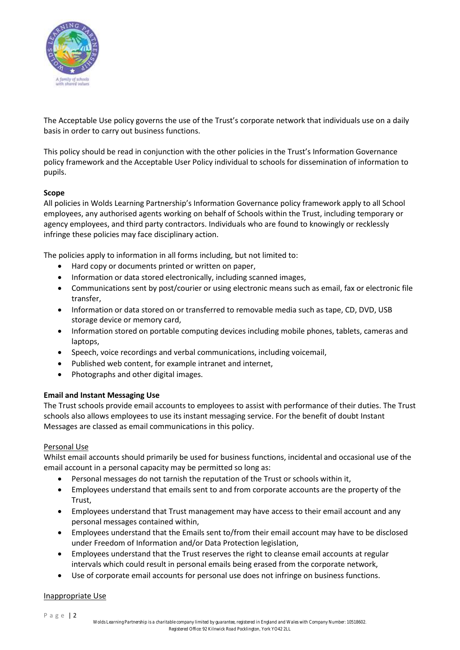

The Acceptable Use policy governs the use of the Trust's corporate network that individuals use on a daily basis in order to carry out business functions.

This policy should be read in conjunction with the other policies in the Trust's Information Governance policy framework and the Acceptable User Policy individual to schools for dissemination of information to pupils.

# **Scope**

All policies in Wolds Learning Partnership's Information Governance policy framework apply to all School employees, any authorised agents working on behalf of Schools within the Trust, including temporary or agency employees, and third party contractors. Individuals who are found to knowingly or recklessly infringe these policies may face disciplinary action.

The policies apply to information in all forms including, but not limited to:

- Hard copy or documents printed or written on paper,
- Information or data stored electronically, including scanned images,
- Communications sent by post/courier or using electronic means such as email, fax or electronic file transfer,
- Information or data stored on or transferred to removable media such as tape, CD, DVD, USB storage device or memory card,
- Information stored on portable computing devices including mobile phones, tablets, cameras and laptops,
- Speech, voice recordings and verbal communications, including voicemail,
- Published web content, for example intranet and internet,
- Photographs and other digital images.

# **Email and Instant Messaging Use**

The Trust schools provide email accounts to employees to assist with performance of their duties. The Trust schools also allows employees to use its instant messaging service. For the benefit of doubt Instant Messages are classed as email communications in this policy.

# Personal Use

Whilst email accounts should primarily be used for business functions, incidental and occasional use of the email account in a personal capacity may be permitted so long as:

- Personal messages do not tarnish the reputation of the Trust or schools within it,
- Employees understand that emails sent to and from corporate accounts are the property of the Trust,
- Employees understand that Trust management may have access to their email account and any personal messages contained within,
- Employees understand that the Emails sent to/from their email account may have to be disclosed under Freedom of Information and/or Data Protection legislation,
- Employees understand that the Trust reserves the right to cleanse email accounts at regular intervals which could result in personal emails being erased from the corporate network,
- Use of corporate email accounts for personal use does not infringe on business functions.

# Inappropriate Use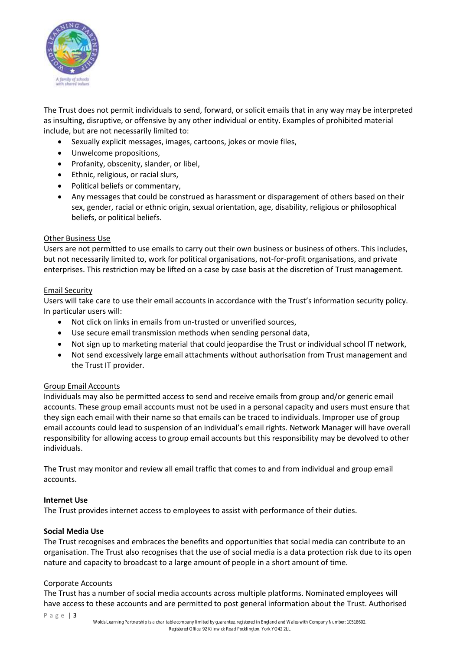

The Trust does not permit individuals to send, forward, or solicit emails that in any way may be interpreted as insulting, disruptive, or offensive by any other individual or entity. Examples of prohibited material include, but are not necessarily limited to:

- Sexually explicit messages, images, cartoons, jokes or movie files,
- Unwelcome propositions,
- Profanity, obscenity, slander, or libel,
- Ethnic, religious, or racial slurs,
- Political beliefs or commentary,
- Any messages that could be construed as harassment or disparagement of others based on their sex, gender, racial or ethnic origin, sexual orientation, age, disability, religious or philosophical beliefs, or political beliefs.

# Other Business Use

Users are not permitted to use emails to carry out their own business or business of others. This includes, but not necessarily limited to, work for political organisations, not-for-profit organisations, and private enterprises. This restriction may be lifted on a case by case basis at the discretion of Trust management.

# Email Security

Users will take care to use their email accounts in accordance with the Trust's information security policy. In particular users will:

- Not click on links in emails from un-trusted or unverified sources,
- Use secure email transmission methods when sending personal data,
- Not sign up to marketing material that could jeopardise the Trust or individual school IT network,
- Not send excessively large email attachments without authorisation from Trust management and the Trust IT provider.

# Group Email Accounts

Individuals may also be permitted access to send and receive emails from group and/or generic email accounts. These group email accounts must not be used in a personal capacity and users must ensure that they sign each email with their name so that emails can be traced to individuals. Improper use of group email accounts could lead to suspension of an individual's email rights. Network Manager will have overall responsibility for allowing access to group email accounts but this responsibility may be devolved to other individuals.

The Trust may monitor and review all email traffic that comes to and from individual and group email accounts.

# **Internet Use**

The Trust provides internet access to employees to assist with performance of their duties.

# **Social Media Use**

The Trust recognises and embraces the benefits and opportunities that social media can contribute to an organisation. The Trust also recognises that the use of social media is a data protection risk due to its open nature and capacity to broadcast to a large amount of people in a short amount of time.

# Corporate Accounts

The Trust has a number of social media accounts across multiple platforms. Nominated employees will have access to these accounts and are permitted to post general information about the Trust. Authorised